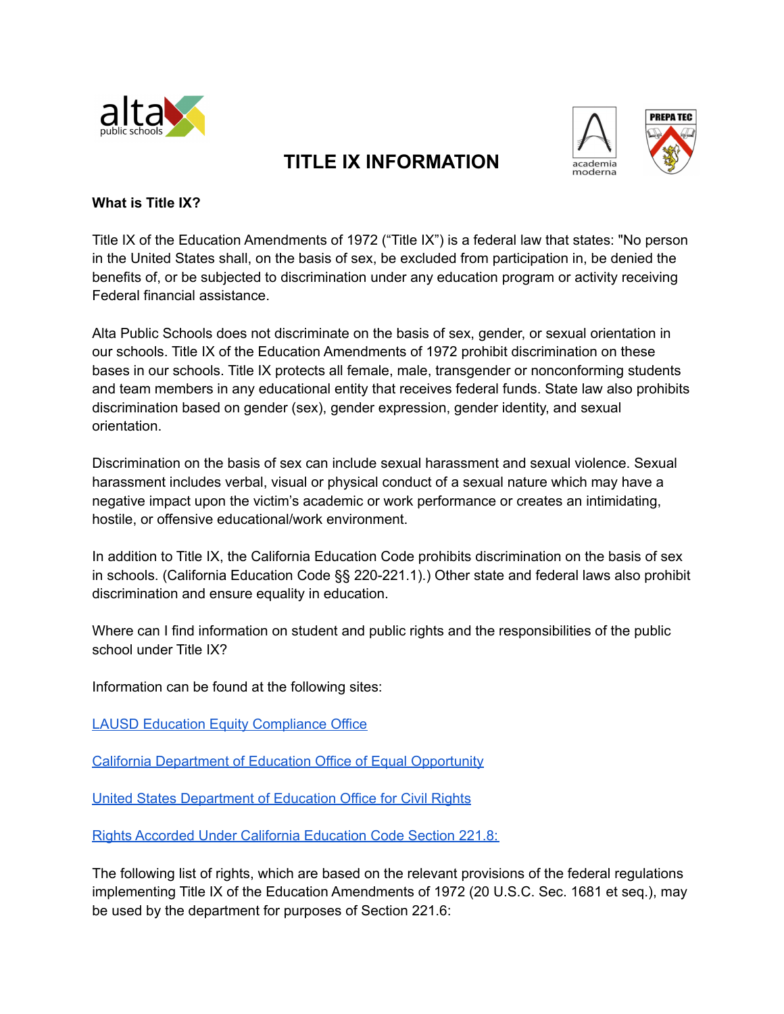

## academia



## **What is Title IX?**

Title IX of the Education Amendments of 1972 ("Title IX") is a federal law that states: "No person in the United States shall, on the basis of sex, be excluded from participation in, be denied the benefits of, or be subjected to discrimination under any education program or activity receiving Federal financial assistance.

**TITLE IX INFORMATION**

Alta Public Schools does not discriminate on the basis of sex, gender, or sexual orientation in our schools. Title IX of the Education Amendments of 1972 prohibit discrimination on these bases in our schools. Title IX protects all female, male, transgender or nonconforming students and team members in any educational entity that receives federal funds. State law also prohibits discrimination based on gender (sex), gender expression, gender identity, and sexual orientation.

Discrimination on the basis of sex can include sexual harassment and sexual violence. Sexual harassment includes verbal, visual or physical conduct of a sexual nature which may have a negative impact upon the victim's academic or work performance or creates an intimidating, hostile, or offensive educational/work environment.

In addition to Title IX, the California Education Code prohibits discrimination on the basis of sex in schools. (California Education Code §§ 220-221.1).) Other state and federal laws also prohibit discrimination and ensure equality in education.

Where can I find information on student and public rights and the responsibilities of the public school under Title IX?

Information can be found at the following sites:

LAUSD Education Equity [Compliance](https://achieve.lausd.net/Page/3654) Office

California [Department](https://www.cde.ca.gov/re/di/eo/genequitytitleix.asp) of Education Office of Equal Opportunity

United States [Department](https://www2.ed.gov/policy/rights/guid/ocr/sex.html) of Education Office for Civil Rights

Rights Accorded Under California [Education](https://leginfo.legislature.ca.gov/faces/codes_displaySection.xhtml?lawCode=EDC§ionNum=221.8.) Code Section 221.8:

The following list of rights, which are based on the relevant provisions of the federal regulations implementing Title IX of the Education Amendments of 1972 (20 U.S.C. Sec. 1681 et seq.), may be used by the department for purposes of Section 221.6: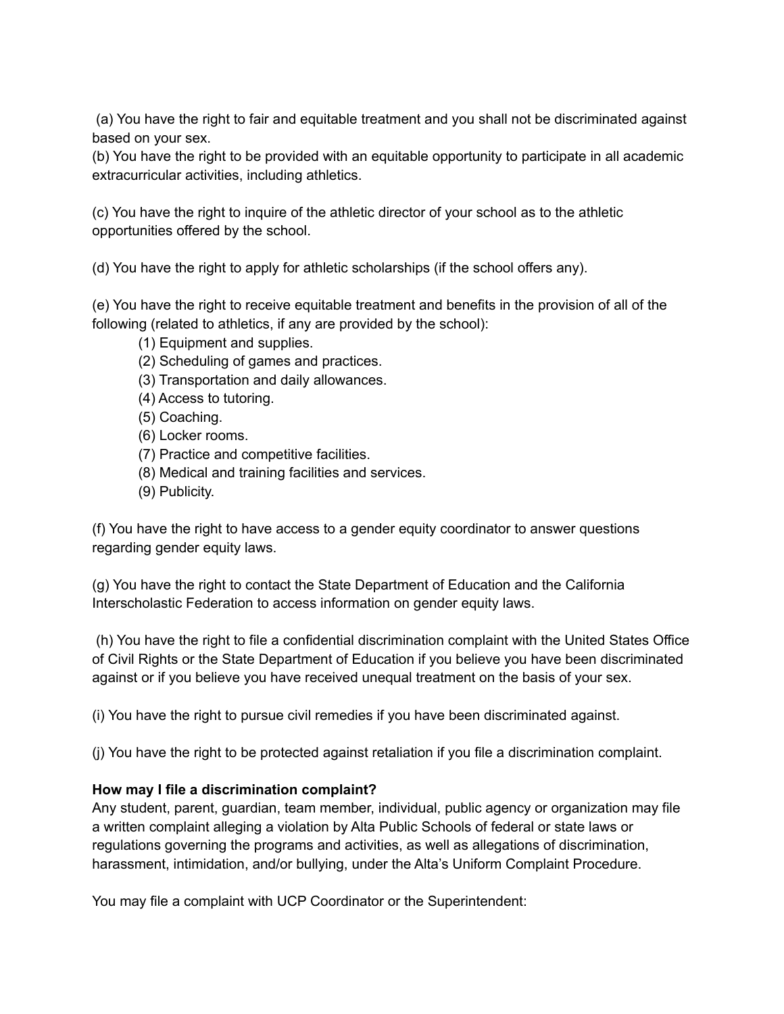(a) You have the right to fair and equitable treatment and you shall not be discriminated against based on your sex.

(b) You have the right to be provided with an equitable opportunity to participate in all academic extracurricular activities, including athletics.

(c) You have the right to inquire of the athletic director of your school as to the athletic opportunities offered by the school.

(d) You have the right to apply for athletic scholarships (if the school offers any).

(e) You have the right to receive equitable treatment and benefits in the provision of all of the following (related to athletics, if any are provided by the school):

(1) Equipment and supplies.

- (2) Scheduling of games and practices.
- (3) Transportation and daily allowances.
- (4) Access to tutoring.
- (5) Coaching.
- (6) Locker rooms.
- (7) Practice and competitive facilities.
- (8) Medical and training facilities and services.
- (9) Publicity.

(f) You have the right to have access to a gender equity coordinator to answer questions regarding gender equity laws.

(g) You have the right to contact the State Department of Education and the California Interscholastic Federation to access information on gender equity laws.

(h) You have the right to file a confidential discrimination complaint with the United States Office of Civil Rights or the State Department of Education if you believe you have been discriminated against or if you believe you have received unequal treatment on the basis of your sex.

(i) You have the right to pursue civil remedies if you have been discriminated against.

(j) You have the right to be protected against retaliation if you file a discrimination complaint.

## **How may I file a discrimination complaint?**

Any student, parent, guardian, team member, individual, public agency or organization may file a written complaint alleging a violation by Alta Public Schools of federal or state laws or regulations governing the programs and activities, as well as allegations of discrimination, harassment, intimidation, and/or bullying, under the Alta's Uniform Complaint Procedure.

You may file a complaint with UCP Coordinator or the Superintendent: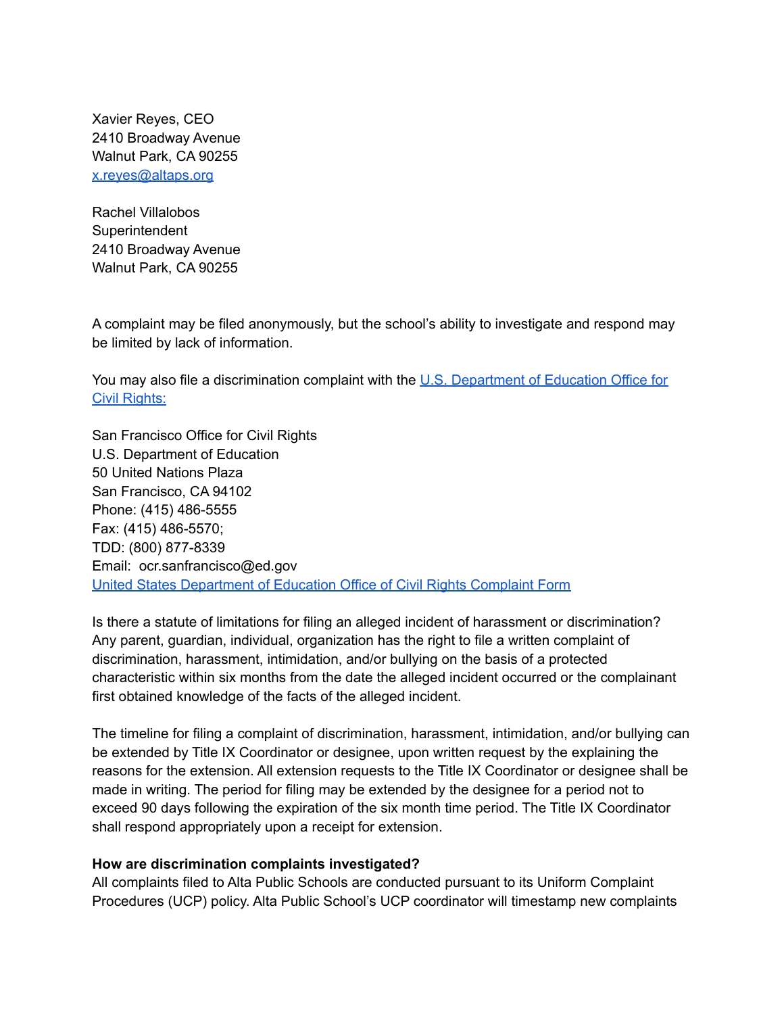Xavier Reyes, CEO 2410 Broadway Avenue Walnut Park, CA 90255 [x.reyes@altaps.org](mailto:x.reyes@altaps.org)

Rachel Villalobos **Superintendent** 2410 Broadway Avenue Walnut Park, CA 90255

A complaint may be filed anonymously, but the school's ability to investigate and respond may be limited by lack of information.

You may also file a discrimination complaint with the U.S. [Department](https://www2.ed.gov/about/offices/list/ocr/docs/howto.html) of Education Office for Civil [Rights:](https://www2.ed.gov/about/offices/list/ocr/docs/howto.html)

San Francisco Office for Civil Rights U.S. Department of Education 50 United Nations Plaza San Francisco, CA 94102 Phone: (415) 486-5555 Fax: (415) 486-5570; TDD: (800) 877-8339 Email: ocr.sanfrancisco@ed.gov United States [Department](https://www2.ed.gov/about/offices/list/ocr/complaintform.pdf) of Education Office of Civil Rights Complaint Form

Is there a statute of limitations for filing an alleged incident of harassment or discrimination? Any parent, guardian, individual, organization has the right to file a written complaint of discrimination, harassment, intimidation, and/or bullying on the basis of a protected characteristic within six months from the date the alleged incident occurred or the complainant first obtained knowledge of the facts of the alleged incident.

The timeline for filing a complaint of discrimination, harassment, intimidation, and/or bullying can be extended by Title IX Coordinator or designee, upon written request by the explaining the reasons for the extension. All extension requests to the Title IX Coordinator or designee shall be made in writing. The period for filing may be extended by the designee for a period not to exceed 90 days following the expiration of the six month time period. The Title IX Coordinator shall respond appropriately upon a receipt for extension.

## **How are discrimination complaints investigated?**

All complaints filed to Alta Public Schools are conducted pursuant to its Uniform Complaint Procedures (UCP) policy. Alta Public School's UCP coordinator will timestamp new complaints